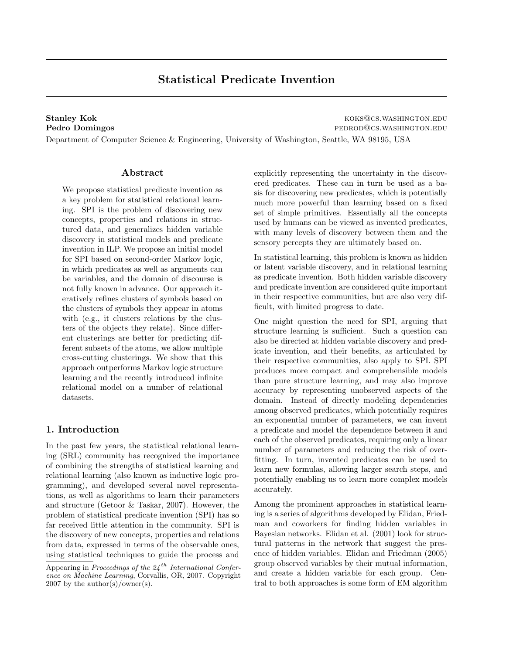# Statistical Predicate Invention

Stanley Kok **Koka koks and Koks and Koks and Koks and Koks and Koks and Koks and Koks and Koks and Koks and Koks and Koks and Koks and Koks and Koks and Koks and Koks and Koks and Koks and Koks and Koks and Koks and Koks a** Pedro Domingos **pedro Domingos** pedrodos.washington.edu

Department of Computer Science & Engineering, University of Washington, Seattle, WA 98195, USA

## Abstract

We propose statistical predicate invention as a key problem for statistical relational learning. SPI is the problem of discovering new concepts, properties and relations in structured data, and generalizes hidden variable discovery in statistical models and predicate invention in ILP. We propose an initial model for SPI based on second-order Markov logic, in which predicates as well as arguments can be variables, and the domain of discourse is not fully known in advance. Our approach iteratively refines clusters of symbols based on the clusters of symbols they appear in atoms with (e.g., it clusters relations by the clusters of the objects they relate). Since different clusterings are better for predicting different subsets of the atoms, we allow multiple cross-cutting clusterings. We show that this approach outperforms Markov logic structure learning and the recently introduced infinite relational model on a number of relational datasets.

## 1. Introduction

In the past few years, the statistical relational learning (SRL) community has recognized the importance of combining the strengths of statistical learning and relational learning (also known as inductive logic programming), and developed several novel representations, as well as algorithms to learn their parameters and structure (Getoor & Taskar, 2007). However, the problem of statistical predicate invention (SPI) has so far received little attention in the community. SPI is the discovery of new concepts, properties and relations from data, expressed in terms of the observable ones, using statistical techniques to guide the process and explicitly representing the uncertainty in the discovered predicates. These can in turn be used as a basis for discovering new predicates, which is potentially much more powerful than learning based on a fixed set of simple primitives. Essentially all the concepts used by humans can be viewed as invented predicates, with many levels of discovery between them and the sensory percepts they are ultimately based on.

In statistical learning, this problem is known as hidden or latent variable discovery, and in relational learning as predicate invention. Both hidden variable discovery and predicate invention are considered quite important in their respective communities, but are also very difficult, with limited progress to date.

One might question the need for SPI, arguing that structure learning is sufficient. Such a question can also be directed at hidden variable discovery and predicate invention, and their benefits, as articulated by their respective communities, also apply to SPI. SPI produces more compact and comprehensible models than pure structure learning, and may also improve accuracy by representing unobserved aspects of the domain. Instead of directly modeling dependencies among observed predicates, which potentially requires an exponential number of parameters, we can invent a predicate and model the dependence between it and each of the observed predicates, requiring only a linear number of parameters and reducing the risk of overfitting. In turn, invented predicates can be used to learn new formulas, allowing larger search steps, and potentially enabling us to learn more complex models accurately.

Among the prominent approaches in statistical learning is a series of algorithms developed by Elidan, Friedman and coworkers for finding hidden variables in Bayesian networks. Elidan et al. (2001) look for structural patterns in the network that suggest the presence of hidden variables. Elidan and Friedman (2005) group observed variables by their mutual information, and create a hidden variable for each group. Central to both approaches is some form of EM algorithm

Appearing in Proceedings of the  $24$ <sup>th</sup> International Conference on Machine Learning, Corvallis, OR, 2007. Copyright  $2007$  by the author(s)/owner(s).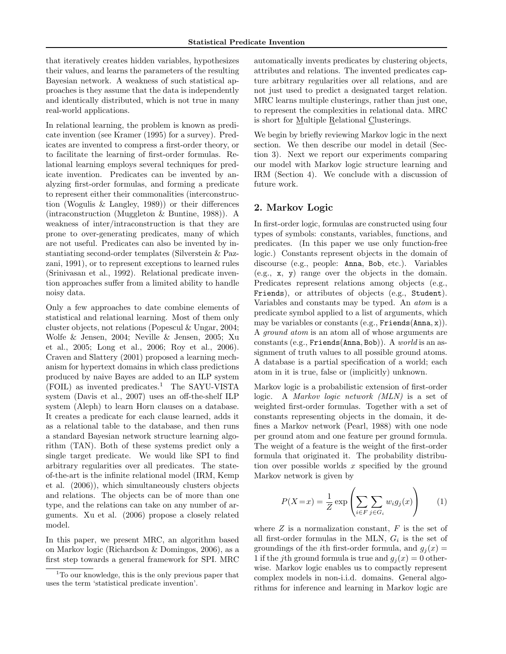that iteratively creates hidden variables, hypothesizes their values, and learns the parameters of the resulting Bayesian network. A weakness of such statistical approaches is they assume that the data is independently and identically distributed, which is not true in many real-world applications.

In relational learning, the problem is known as predicate invention (see Kramer (1995) for a survey). Predicates are invented to compress a first-order theory, or to facilitate the learning of first-order formulas. Relational learning employs several techniques for predicate invention. Predicates can be invented by analyzing first-order formulas, and forming a predicate to represent either their commonalities (interconstruction (Wogulis & Langley, 1989)) or their differences (intraconstruction (Muggleton & Buntine, 1988)). A weakness of inter/intraconstruction is that they are prone to over-generating predicates, many of which are not useful. Predicates can also be invented by instantiating second-order templates (Silverstein & Pazzani, 1991), or to represent exceptions to learned rules (Srinivasan et al., 1992). Relational predicate invention approaches suffer from a limited ability to handle noisy data.

Only a few approaches to date combine elements of statistical and relational learning. Most of them only cluster objects, not relations (Popescul & Ungar, 2004; Wolfe & Jensen, 2004; Neville & Jensen, 2005; Xu et al., 2005; Long et al., 2006; Roy et al., 2006). Craven and Slattery (2001) proposed a learning mechanism for hypertext domains in which class predictions produced by naive Bayes are added to an ILP system  $(FOIL)$  as invented predicates.<sup>1</sup> The SAYU-VISTA system (Davis et al., 2007) uses an off-the-shelf ILP system (Aleph) to learn Horn clauses on a database. It creates a predicate for each clause learned, adds it as a relational table to the database, and then runs a standard Bayesian network structure learning algorithm (TAN). Both of these systems predict only a single target predicate. We would like SPI to find arbitrary regularities over all predicates. The stateof-the-art is the infinite relational model (IRM, Kemp et al. (2006)), which simultaneously clusters objects and relations. The objects can be of more than one type, and the relations can take on any number of arguments. Xu et al. (2006) propose a closely related model.

In this paper, we present MRC, an algorithm based on Markov logic (Richardson & Domingos, 2006), as a first step towards a general framework for SPI. MRC

automatically invents predicates by clustering objects, attributes and relations. The invented predicates capture arbitrary regularities over all relations, and are not just used to predict a designated target relation. MRC learns multiple clusterings, rather than just one, to represent the complexities in relational data. MRC is short for Multiple Relational Clusterings.

We begin by briefly reviewing Markov logic in the next section. We then describe our model in detail (Section 3). Next we report our experiments comparing our model with Markov logic structure learning and IRM (Section 4). We conclude with a discussion of future work.

## 2. Markov Logic

In first-order logic, formulas are constructed using four types of symbols: constants, variables, functions, and predicates. (In this paper we use only function-free logic.) Constants represent objects in the domain of discourse (e.g., people: Anna, Bob, etc.). Variables (e.g., x, y) range over the objects in the domain. Predicates represent relations among objects (e.g., Friends), or attributes of objects (e.g., Student). Variables and constants may be typed. An atom is a predicate symbol applied to a list of arguments, which may be variables or constants (e.g.,  $Friends(Anna, x)$ ). A ground atom is an atom all of whose arguments are constants (e.g., Friends(Anna, Bob)). A *world* is an assignment of truth values to all possible ground atoms. A database is a partial specification of a world; each atom in it is true, false or (implicitly) unknown.

Markov logic is a probabilistic extension of first-order logic. A Markov logic network (MLN) is a set of weighted first-order formulas. Together with a set of constants representing objects in the domain, it defines a Markov network (Pearl, 1988) with one node per ground atom and one feature per ground formula. The weight of a feature is the weight of the first-order formula that originated it. The probability distribution over possible worlds  $x$  specified by the ground Markov network is given by

$$
P(X=x) = \frac{1}{Z} \exp\left(\sum_{i \in F} \sum_{j \in G_i} w_i g_j(x)\right) \qquad (1)
$$

where  $Z$  is a normalization constant,  $F$  is the set of all first-order formulas in the MLN,  $G_i$  is the set of groundings of the *i*th first-order formula, and  $g_i(x) =$ 1 if the jth ground formula is true and  $g_i(x) = 0$  otherwise. Markov logic enables us to compactly represent complex models in non-i.i.d. domains. General algorithms for inference and learning in Markov logic are

<sup>1</sup>To our knowledge, this is the only previous paper that uses the term 'statistical predicate invention'.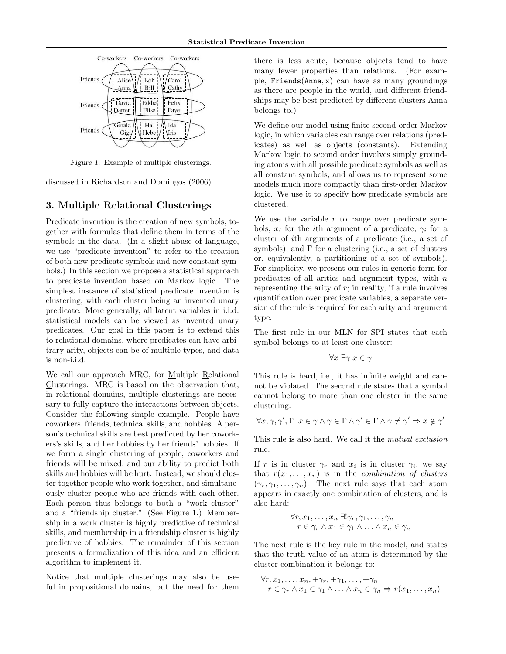

Figure 1. Example of multiple clusterings.

discussed in Richardson and Domingos (2006).

## 3. Multiple Relational Clusterings

Predicate invention is the creation of new symbols, together with formulas that define them in terms of the symbols in the data. (In a slight abuse of language, we use "predicate invention" to refer to the creation of both new predicate symbols and new constant symbols.) In this section we propose a statistical approach to predicate invention based on Markov logic. The simplest instance of statistical predicate invention is clustering, with each cluster being an invented unary predicate. More generally, all latent variables in i.i.d. statistical models can be viewed as invented unary predicates. Our goal in this paper is to extend this to relational domains, where predicates can have arbitrary arity, objects can be of multiple types, and data is non-i.i.d.

We call our approach MRC, for Multiple Relational Clusterings. MRC is based on the observation that, in relational domains, multiple clusterings are necessary to fully capture the interactions between objects. Consider the following simple example. People have coworkers, friends, technical skills, and hobbies. A person's technical skills are best predicted by her coworkers's skills, and her hobbies by her friends' hobbies. If we form a single clustering of people, coworkers and friends will be mixed, and our ability to predict both skills and hobbies will be hurt. Instead, we should cluster together people who work together, and simultaneously cluster people who are friends with each other. Each person thus belongs to both a "work cluster" and a "friendship cluster." (See Figure 1.) Membership in a work cluster is highly predictive of technical skills, and membership in a friendship cluster is highly predictive of hobbies. The remainder of this section presents a formalization of this idea and an efficient algorithm to implement it.

Notice that multiple clusterings may also be useful in propositional domains, but the need for them

there is less acute, because objects tend to have many fewer properties than relations. (For example, Friends(Anna, x) can have as many groundings as there are people in the world, and different friendships may be best predicted by different clusters Anna belongs to.)

We define our model using finite second-order Markov logic, in which variables can range over relations (predicates) as well as objects (constants). Extending Markov logic to second order involves simply grounding atoms with all possible predicate symbols as well as all constant symbols, and allows us to represent some models much more compactly than first-order Markov logic. We use it to specify how predicate symbols are clustered.

We use the variable  $r$  to range over predicate symbols,  $x_i$  for the *i*th argument of a predicate,  $\gamma_i$  for a cluster of ith arguments of a predicate (i.e., a set of symbols), and  $\Gamma$  for a clustering (i.e., a set of clusters or, equivalently, a partitioning of a set of symbols). For simplicity, we present our rules in generic form for predicates of all arities and argument types, with  $n$ representing the arity of  $r$ ; in reality, if a rule involves quantification over predicate variables, a separate version of the rule is required for each arity and argument type.

The first rule in our MLN for SPI states that each symbol belongs to at least one cluster:

$$
\forall x \; \exists \gamma \; x \in \gamma
$$

This rule is hard, i.e., it has infinite weight and cannot be violated. The second rule states that a symbol cannot belong to more than one cluster in the same clustering:

$$
\forall x, \gamma, \gamma', \Gamma \ x \in \gamma \land \gamma \in \Gamma \land \gamma' \in \Gamma \land \gamma \neq \gamma' \Rightarrow x \notin \gamma'
$$

This rule is also hard. We call it the mutual exclusion rule.

If r is in cluster  $\gamma_r$  and  $x_i$  is in cluster  $\gamma_i$ , we say that  $r(x_1, \ldots, x_n)$  is in the *combination of clusters*  $(\gamma_r, \gamma_1, \ldots, \gamma_n)$ . The next rule says that each atom appears in exactly one combination of clusters, and is also hard:

$$
\forall r, x_1, \dots, x_n \exists! \gamma_r, \gamma_1, \dots, \gamma_n
$$
  

$$
r \in \gamma_r \land x_1 \in \gamma_1 \land \dots \land x_n \in \gamma_n
$$

The next rule is the key rule in the model, and states that the truth value of an atom is determined by the cluster combination it belongs to:

$$
\forall r, x_1, \dots, x_n, +\gamma_r, +\gamma_1, \dots, +\gamma_n
$$
  
\n
$$
r \in \gamma_r \land x_1 \in \gamma_1 \land \dots \land x_n \in \gamma_n \Rightarrow r(x_1, \dots, x_n)
$$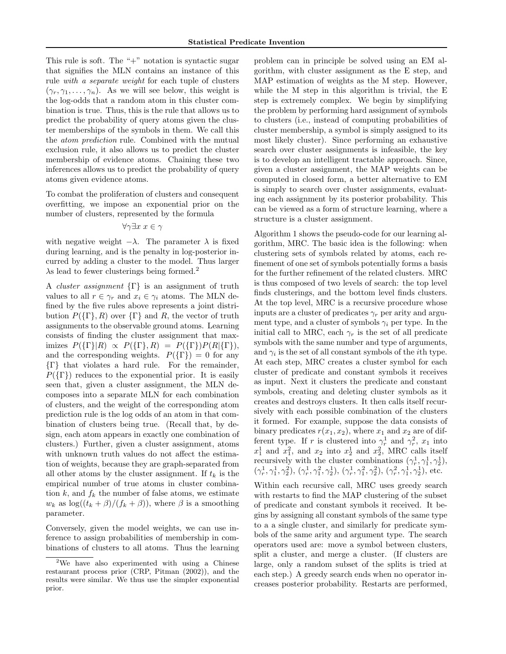This rule is soft. The "+" notation is syntactic sugar that signifies the MLN contains an instance of this rule with a separate weight for each tuple of clusters  $(\gamma_r, \gamma_1, \ldots, \gamma_n)$ . As we will see below, this weight is the log-odds that a random atom in this cluster combination is true. Thus, this is the rule that allows us to predict the probability of query atoms given the cluster memberships of the symbols in them. We call this the atom prediction rule. Combined with the mutual exclusion rule, it also allows us to predict the cluster membership of evidence atoms. Chaining these two inferences allows us to predict the probability of query atoms given evidence atoms.

To combat the proliferation of clusters and consequent overfitting, we impose an exponential prior on the number of clusters, represented by the formula

$$
\forall \gamma \exists x \ x \in \gamma
$$

with negative weight  $-\lambda$ . The parameter  $\lambda$  is fixed during learning, and is the penalty in log-posterior incurred by adding a cluster to the model. Thus larger  $\lambda$ s lead to fewer clusterings being formed.<sup>2</sup>

A *cluster assignment*  $\{\Gamma\}$  is an assignment of truth values to all  $r \in \gamma_r$  and  $x_i \in \gamma_i$  atoms. The MLN defined by the five rules above represents a joint distribution  $P(\{\Gamma\},R)$  over  $\{\Gamma\}$  and R, the vector of truth assignments to the observable ground atoms. Learning consists of finding the cluster assignment that maximizes  $P(\{\Gamma\}|R) \propto P(\{\Gamma\},R) = P(\{\Gamma\})P(R|\{\Gamma\}),$ and the corresponding weights.  $P({\{\Gamma\}}) = 0$  for any {Γ} that violates a hard rule. For the remainder,  $P({\{\Gamma\}})$  reduces to the exponential prior. It is easily seen that, given a cluster assignment, the MLN decomposes into a separate MLN for each combination of clusters, and the weight of the corresponding atom prediction rule is the log odds of an atom in that combination of clusters being true. (Recall that, by design, each atom appears in exactly one combination of clusters.) Further, given a cluster assignment, atoms with unknown truth values do not affect the estimation of weights, because they are graph-separated from all other atoms by the cluster assignment. If  $t_k$  is the empirical number of true atoms in cluster combination k, and  $f_k$  the number of false atoms, we estimate  $w_k$  as  $\log((t_k + \beta)/(f_k + \beta))$ , where  $\beta$  is a smoothing parameter.

Conversely, given the model weights, we can use inference to assign probabilities of membership in combinations of clusters to all atoms. Thus the learning problem can in principle be solved using an EM algorithm, with cluster assignment as the E step, and MAP estimation of weights as the M step. However, while the M step in this algorithm is trivial, the E step is extremely complex. We begin by simplifying the problem by performing hard assignment of symbols to clusters (i.e., instead of computing probabilities of cluster membership, a symbol is simply assigned to its most likely cluster). Since performing an exhaustive search over cluster assignments is infeasible, the key is to develop an intelligent tractable approach. Since, given a cluster assignment, the MAP weights can be computed in closed form, a better alternative to EM is simply to search over cluster assignments, evaluating each assignment by its posterior probability. This can be viewed as a form of structure learning, where a structure is a cluster assignment.

Algorithm 1 shows the pseudo-code for our learning algorithm, MRC. The basic idea is the following: when clustering sets of symbols related by atoms, each refinement of one set of symbols potentially forms a basis for the further refinement of the related clusters. MRC is thus composed of two levels of search: the top level finds clusterings, and the bottom level finds clusters. At the top level, MRC is a recursive procedure whose inputs are a cluster of predicates  $\gamma_r$  per arity and argument type, and a cluster of symbols  $\gamma_i$  per type. In the initial call to MRC, each  $\gamma_r$  is the set of all predicate symbols with the same number and type of arguments, and  $\gamma_i$  is the set of all constant symbols of the *i*<sup>th</sup> type. At each step, MRC creates a cluster symbol for each cluster of predicate and constant symbols it receives as input. Next it clusters the predicate and constant symbols, creating and deleting cluster symbols as it creates and destroys clusters. It then calls itself recursively with each possible combination of the clusters it formed. For example, suppose the data consists of binary predicates  $r(x_1, x_2)$ , where  $x_1$  and  $x_2$  are of different type. If r is clustered into  $\gamma_r^1$  and  $\gamma_r^2$ ,  $x_1$  into  $x_1^1$  and  $x_1^2$ , and  $x_2$  into  $x_2^1$  and  $x_2^2$ , MRC calls itself recursively with the cluster combinations  $(\gamma_r^1, \gamma_1^1, \gamma_2^1)$ ,  $(\gamma_r^1, \gamma_1^1, \gamma_2^2), (\gamma_r^1, \gamma_1^2, \gamma_2^1), (\gamma_r^1, \gamma_1^2, \gamma_2^2), (\gamma_r^2, \gamma_1^1, \gamma_2^1),$  etc.

Within each recursive call, MRC uses greedy search with restarts to find the MAP clustering of the subset of predicate and constant symbols it received. It begins by assigning all constant symbols of the same type to a a single cluster, and similarly for predicate symbols of the same arity and argument type. The search operators used are: move a symbol between clusters, split a cluster, and merge a cluster. (If clusters are large, only a random subset of the splits is tried at each step.) A greedy search ends when no operator increases posterior probability. Restarts are performed,

<sup>&</sup>lt;sup>2</sup>We have also experimented with using a Chinese restaurant process prior (CRP, Pitman (2002)), and the results were similar. We thus use the simpler exponential prior.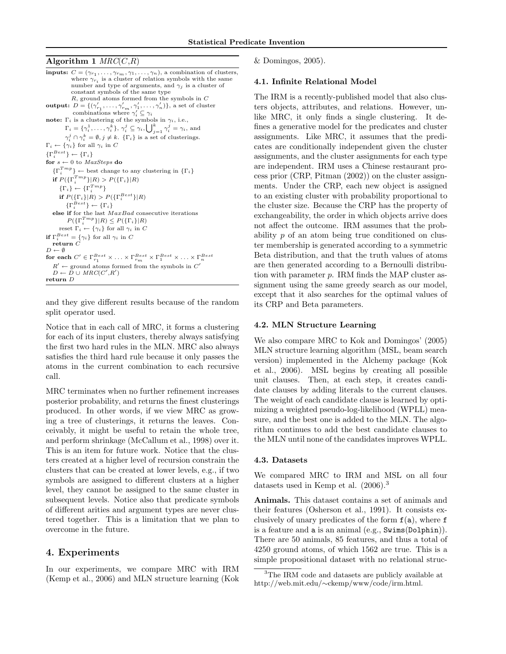## Algorithm 1  $MRC(C,R)$

```
inputs: C = (\gamma_{r_1}, \dots, \gamma_{r_m}, \gamma_1, \dots, \gamma_n), a combination of clusters,
               where \gamma_{r_i} is a cluster of relation symbols with the same
               number and type of arguments, and \gamma_j is a cluster of
              constant symbols of the same type
              R, ground atoms formed from the symbols in C
output: D = \{(\gamma'_{r_1}, \ldots, \gamma'_{r_m}, \gamma'_1, \ldots, \gamma'_n)\}\), a set of cluster
combinations where \gamma'_i \subseteq \gamma_i<br>note: \Gamma_i is a clustering of the symbols in \gamma_i, i.e.,
           \Gamma_i = \{\gamma_i^1, \ldots, \gamma_i^k\}, \gamma_i^j \subseteq \gamma_i, \bigcup_{j=1}^k \gamma_i^j = \gamma_i, and
           \gamma_i^j \cap \gamma_i^k = \emptyset, j \neq k. {\Gamma_i} is a set of clusterings.
\Gamma_i \leftarrow {\gamma_i} for all \gamma_i in C
\{\Gamma_i^{Best}\}\leftarrow {\{\Gamma_i\}}for s \leftarrow 0 to MaxSteps do
    \{\Gamma_i^{Tmp}\}\leftarrow best change to any clustering in \{\Gamma_i\}if P({{\{\Gamma_i^{Tmp}\}}}|R) > P({{\{\Gamma_i}\}}|R)\{\Gamma_i\} \leftarrow \{\Gamma_i^{Tmp}\}if P(\{\Gamma_i\}|R) > P(\{\Gamma_i^{Best}\}|R)\{\Gamma_i^{Best}\}\leftarrow {\{\Gamma_i\}}else if for the last MaxBad consecutive iterations
             P(\{\Gamma_i^{Tmp}\} | R) \leq P(\{\Gamma_i\} | R)reset \Gamma_i \leftarrow {\gamma_i} for all \gamma_i in C
if \Gamma_i^{Best} = {\gamma_i} for all \gamma_i in C<br>return C
D \leftarrow \emptysetfor each C' \in \Gamma_{r_1}^{Best} \times \ldots \times \Gamma_{r_m}^{Best} \times \Gamma_1^{Best} \times \ldots \times \Gamma_n^{Best}R' \leftarrow ground atoms formed from the symbols in C'D \leftarrow \overline{D} \cup MRC(C',R')return {\cal D}
```
and they give different results because of the random split operator used.

Notice that in each call of MRC, it forms a clustering for each of its input clusters, thereby always satisfying the first two hard rules in the MLN. MRC also always satisfies the third hard rule because it only passes the atoms in the current combination to each recursive call.

MRC terminates when no further refinement increases posterior probability, and returns the finest clusterings produced. In other words, if we view MRC as growing a tree of clusterings, it returns the leaves. Conceivably, it might be useful to retain the whole tree, and perform shrinkage (McCallum et al., 1998) over it. This is an item for future work. Notice that the clusters created at a higher level of recursion constrain the clusters that can be created at lower levels, e.g., if two symbols are assigned to different clusters at a higher level, they cannot be assigned to the same cluster in subsequent levels. Notice also that predicate symbols of different arities and argument types are never clustered together. This is a limitation that we plan to overcome in the future.

#### 4. Experiments

In our experiments, we compare MRC with IRM (Kemp et al., 2006) and MLN structure learning (Kok & Domingos, 2005).

#### 4.1. Infinite Relational Model

The IRM is a recently-published model that also clusters objects, attributes, and relations. However, unlike MRC, it only finds a single clustering. It defines a generative model for the predicates and cluster assignments. Like MRC, it assumes that the predicates are conditionally independent given the cluster assignments, and the cluster assignments for each type are independent. IRM uses a Chinese restaurant process prior (CRP, Pitman (2002)) on the cluster assignments. Under the CRP, each new object is assigned to an existing cluster with probability proportional to the cluster size. Because the CRP has the property of exchangeability, the order in which objects arrive does not affect the outcome. IRM assumes that the probability p of an atom being true conditioned on cluster membership is generated according to a symmetric Beta distribution, and that the truth values of atoms are then generated according to a Bernoulli distribution with parameter p. IRM finds the MAP cluster assignment using the same greedy search as our model, except that it also searches for the optimal values of its CRP and Beta parameters.

## 4.2. MLN Structure Learning

We also compare MRC to Kok and Domingos' (2005) MLN structure learning algorithm (MSL, beam search version) implemented in the Alchemy package (Kok et al., 2006). MSL begins by creating all possible unit clauses. Then, at each step, it creates candidate clauses by adding literals to the current clauses. The weight of each candidate clause is learned by optimizing a weighted pseudo-log-likelihood (WPLL) measure, and the best one is added to the MLN. The algorithm continues to add the best candidate clauses to the MLN until none of the candidates improves WPLL.

#### 4.3. Datasets

We compared MRC to IRM and MSL on all four datasets used in Kemp et al.  $(2006)^3$ 

Animals. This dataset contains a set of animals and their features (Osherson et al., 1991). It consists exclusively of unary predicates of the form  $f(a)$ , where f is a feature and a is an animal (e.g., Swims(Dolphin)). There are 50 animals, 85 features, and thus a total of 4250 ground atoms, of which 1562 are true. This is a simple propositional dataset with no relational struc-

<sup>3</sup>The IRM code and datasets are publicly available at http://web.mit.edu/∼ckemp/www/code/irm.html.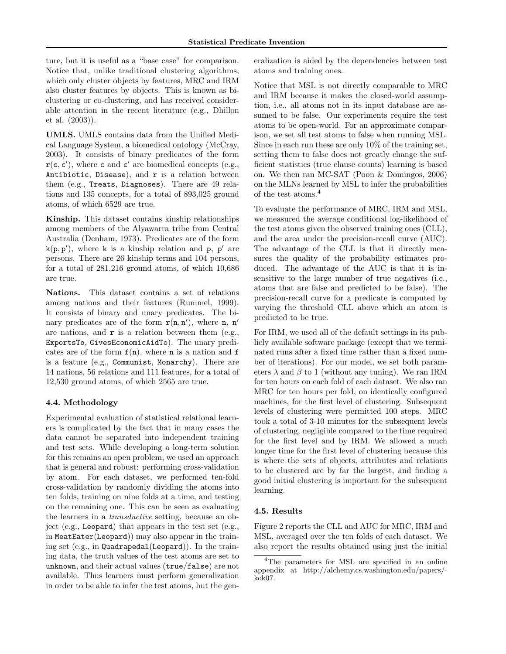ture, but it is useful as a "base case" for comparison. Notice that, unlike traditional clustering algorithms, which only cluster objects by features, MRC and IRM also cluster features by objects. This is known as biclustering or co-clustering, and has received considerable attention in the recent literature (e.g., Dhillon et al. (2003)).

UMLS. UMLS contains data from the Unified Medical Language System, a biomedical ontology (McCray, 2003). It consists of binary predicates of the form  $r(c, c')$ , where c and c' are biomedical concepts (e.g., Antibiotic, Disease), and  $r$  is a relation between them (e.g., Treats, Diagnoses). There are 49 relations and 135 concepts, for a total of 893,025 ground atoms, of which 6529 are true.

Kinship. This dataset contains kinship relationships among members of the Alyawarra tribe from Central Australia (Denham, 1973). Predicates are of the form  $k(p, p')$ , where k is a kinship relation and p, p' are persons. There are 26 kinship terms and 104 persons, for a total of 281,216 ground atoms, of which 10,686 are true.

Nations. This dataset contains a set of relations among nations and their features (Rummel, 1999). It consists of binary and unary predicates. The binary predicates are of the form  $r(n, n')$ , where n, n' are nations, and  $\bf{r}$  is a relation between them (e.g., ExportsTo, GivesEconomicAidTo). The unary predicates are of the form  $f(n)$ , where n is a nation and f is a feature (e.g., Communist, Monarchy). There are 14 nations, 56 relations and 111 features, for a total of 12,530 ground atoms, of which 2565 are true.

#### 4.4. Methodology

Experimental evaluation of statistical relational learners is complicated by the fact that in many cases the data cannot be separated into independent training and test sets. While developing a long-term solution for this remains an open problem, we used an approach that is general and robust: performing cross-validation by atom. For each dataset, we performed ten-fold cross-validation by randomly dividing the atoms into ten folds, training on nine folds at a time, and testing on the remaining one. This can be seen as evaluating the learners in a transductive setting, because an object (e.g., Leopard) that appears in the test set (e.g., in MeatEater(Leopard)) may also appear in the training set (e.g., in Quadrapedal(Leopard)). In the training data, the truth values of the test atoms are set to unknown, and their actual values (true/false) are not available. Thus learners must perform generalization in order to be able to infer the test atoms, but the generalization is aided by the dependencies between test atoms and training ones.

Notice that MSL is not directly comparable to MRC and IRM because it makes the closed-world assumption, i.e., all atoms not in its input database are assumed to be false. Our experiments require the test atoms to be open-world. For an approximate comparison, we set all test atoms to false when running MSL. Since in each run these are only 10% of the training set, setting them to false does not greatly change the sufficient statistics (true clause counts) learning is based on. We then ran MC-SAT (Poon & Domingos, 2006) on the MLNs learned by MSL to infer the probabilities of the test atoms.<sup>4</sup>

To evaluate the performance of MRC, IRM and MSL, we measured the average conditional log-likelihood of the test atoms given the observed training ones (CLL), and the area under the precision-recall curve (AUC). The advantage of the CLL is that it directly measures the quality of the probability estimates produced. The advantage of the AUC is that it is insensitive to the large number of true negatives (i.e., atoms that are false and predicted to be false). The precision-recall curve for a predicate is computed by varying the threshold CLL above which an atom is predicted to be true.

For IRM, we used all of the default settings in its publicly available software package (except that we terminated runs after a fixed time rather than a fixed number of iterations). For our model, we set both parameters  $\lambda$  and  $\beta$  to 1 (without any tuning). We ran IRM for ten hours on each fold of each dataset. We also ran MRC for ten hours per fold, on identically configured machines, for the first level of clustering. Subsequent levels of clustering were permitted 100 steps. MRC took a total of 3-10 minutes for the subsequent levels of clustering, negligible compared to the time required for the first level and by IRM. We allowed a much longer time for the first level of clustering because this is where the sets of objects, attributes and relations to be clustered are by far the largest, and finding a good initial clustering is important for the subsequent learning.

#### 4.5. Results

Figure 2 reports the CLL and AUC for MRC, IRM and MSL, averaged over the ten folds of each dataset. We also report the results obtained using just the initial

<sup>4</sup>The parameters for MSL are specified in an online appendix at http://alchemy.cs.washington.edu/papers/ kok07.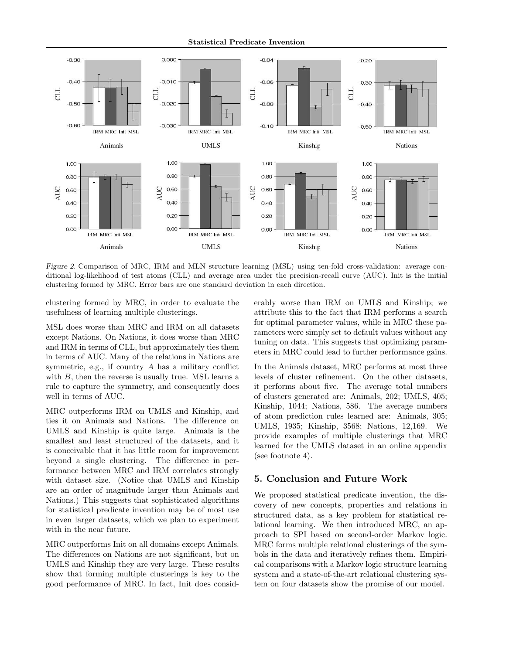Statistical Predicate Invention



Figure 2. Comparison of MRC, IRM and MLN structure learning (MSL) using ten-fold cross-validation: average conditional log-likelihood of test atoms (CLL) and average area under the precision-recall curve (AUC). Init is the initial clustering formed by MRC. Error bars are one standard deviation in each direction.

clustering formed by MRC, in order to evaluate the usefulness of learning multiple clusterings.

MSL does worse than MRC and IRM on all datasets except Nations. On Nations, it does worse than MRC and IRM in terms of CLL, but approximately ties them in terms of AUC. Many of the relations in Nations are symmetric, e.g., if country  $A$  has a military conflict with  $B$ , then the reverse is usually true. MSL learns a rule to capture the symmetry, and consequently does well in terms of AUC.

MRC outperforms IRM on UMLS and Kinship, and ties it on Animals and Nations. The difference on UMLS and Kinship is quite large. Animals is the smallest and least structured of the datasets, and it is conceivable that it has little room for improvement beyond a single clustering. The difference in performance between MRC and IRM correlates strongly with dataset size. (Notice that UMLS and Kinship are an order of magnitude larger than Animals and Nations.) This suggests that sophisticated algorithms for statistical predicate invention may be of most use in even larger datasets, which we plan to experiment with in the near future.

MRC outperforms Init on all domains except Animals. The differences on Nations are not significant, but on UMLS and Kinship they are very large. These results show that forming multiple clusterings is key to the good performance of MRC. In fact, Init does considerably worse than IRM on UMLS and Kinship; we attribute this to the fact that IRM performs a search for optimal parameter values, while in MRC these parameters were simply set to default values without any tuning on data. This suggests that optimizing parameters in MRC could lead to further performance gains.

In the Animals dataset, MRC performs at most three levels of cluster refinement. On the other datasets, it performs about five. The average total numbers of clusters generated are: Animals, 202; UMLS, 405; Kinship, 1044; Nations, 586. The average numbers of atom prediction rules learned are: Animals, 305; UMLS, 1935; Kinship, 3568; Nations, 12,169. We provide examples of multiple clusterings that MRC learned for the UMLS dataset in an online appendix (see footnote 4).

## 5. Conclusion and Future Work

We proposed statistical predicate invention, the discovery of new concepts, properties and relations in structured data, as a key problem for statistical relational learning. We then introduced MRC, an approach to SPI based on second-order Markov logic. MRC forms multiple relational clusterings of the symbols in the data and iteratively refines them. Empirical comparisons with a Markov logic structure learning system and a state-of-the-art relational clustering system on four datasets show the promise of our model.